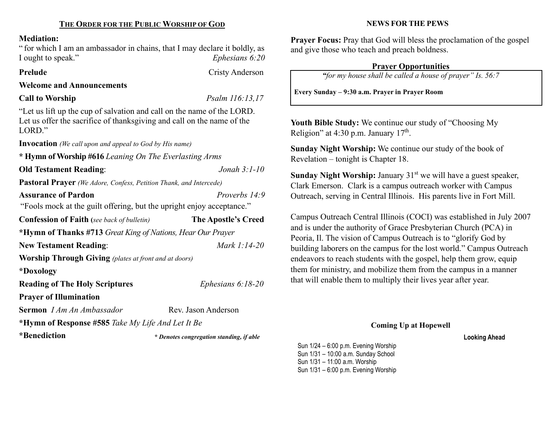## Mediation:

" for which I am an ambassador in chains, that I may declare it boldly, as I ought to speak." Ephesians 6:20

# Prelude Cristy Anderson

## Welcome and Announcements

# Call to Worship Psalm 116:13,17

"Let us lift up the cup of salvation and call on the name of the LORD. Let us offer the sacrifice of thanksgiving and call on the name of the LORD."

Invocation (We call upon and appeal to God by His name)

\* Hymn of Worship #616 Leaning On The Everlasting Arms Old Testament Reading: Jonah 3:1-10

Pastoral Prayer (We Adore, Confess, Petition Thank, and Intercede)

Assurance of Pardon Proverbs 14:9 "Fools mock at the guilt offering, but the upright enjoy acceptance." Confession of Faith (see back of bulletin) The Apostle's Creed \*Hymn of Thanks #713 Great King of Nations, Hear Our Prayer New Testament Reading: Mark 1:14-20 Worship Through Giving (plates at front and at doors) \*Doxology Reading of The Holy Scriptures *Ephesians 6:18-20* Prayer of Illumination Sermon *I Am An Ambassador* Rev. Jason Anderson \*Hymn of Response #585 Take My Life And Let It Be

\*Benediction

\* Denotes congregation standing, if able

NEWS FOR THE PEWS

Prayer Focus: Pray that God will bless the proclamation of the gospel and give those who teach and preach boldness.

# Prayer Opportunities

"for my house shall be called a house of prayer" Is. 56:7

Every Sunday – 9:30 a.m. Prayer in Prayer Room

Youth Bible Study: We continue our study of "Choosing My Religion" at 4:30 p.m. January  $17<sup>th</sup>$ .

Sunday Night Worship: We continue our study of the book of Revelation – tonight is Chapter 18.

Sunday Night Worship: January  $31<sup>st</sup>$  we will have a guest speaker, Clark Emerson. Clark is a campus outreach worker with Campus Outreach, serving in Central Illinois. His parents live in Fort Mill.

Campus Outreach Central Illinois (COCI) was established in July 2007 and is under the authority of Grace Presbyterian Church (PCA) in Peoria, Il. The vision of Campus Outreach is to "glorify God by building laborers on the campus for the lost world." Campus Outreach endeavors to reach students with the gospel, help them grow, equip them for ministry, and mobilize them from the campus in a manner that will enable them to multiply their lives year after year.

## Coming Up at Hopewell

Looking Ahead

Sun 1/24 – 6:00 p.m. Evening Worship Sun 1/31 – 10:00 a.m. Sunday School Sun 1/31 – 11:00 a.m. Worship Sun 1/31 – 6:00 p.m. Evening Worship